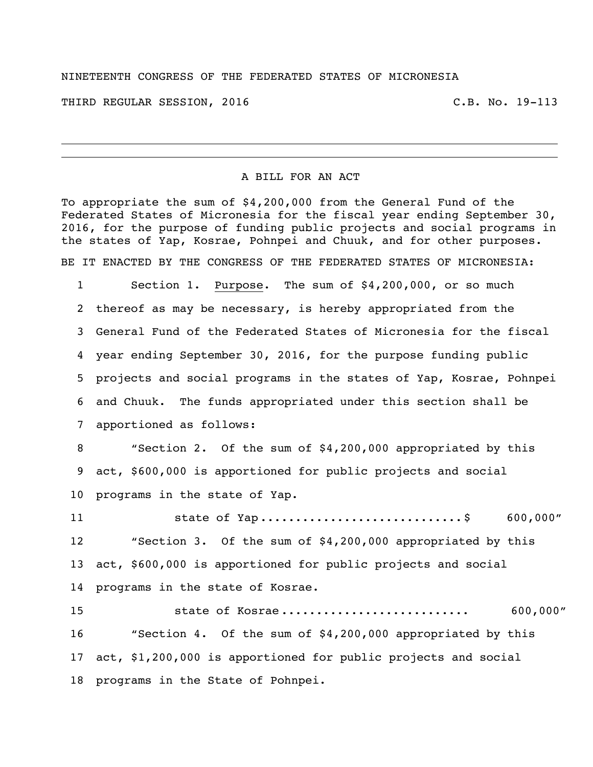## NINETEENTH CONGRESS OF THE FEDERATED STATES OF MICRONESIA

THIRD REGULAR SESSION, 2016 C.B. No. 19-113

## A BILL FOR AN ACT

To appropriate the sum of \$4,200,000 from the General Fund of the Federated States of Micronesia for the fiscal year ending September 30, 2016, for the purpose of funding public projects and social programs in the states of Yap, Kosrae, Pohnpei and Chuuk, and for other purposes. BE IT ENACTED BY THE CONGRESS OF THE FEDERATED STATES OF MICRONESIA:

 Section 1. Purpose. The sum of \$4,200,000, or so much thereof as may be necessary, is hereby appropriated from the General Fund of the Federated States of Micronesia for the fiscal year ending September 30, 2016, for the purpose funding public projects and social programs in the states of Yap, Kosrae, Pohnpei and Chuuk. The funds appropriated under this section shall be apportioned as follows:

 "Section 2. Of the sum of \$4,200,000 appropriated by this act, \$600,000 is apportioned for public projects and social programs in the state of Yap.

11 5tate of Yap ...............................\$ 600,000" "Section 3. Of the sum of \$4,200,000 appropriated by this act, \$600,000 is apportioned for public projects and social programs in the state of Kosrae.

 state of Kosrae ........................... 600,000" "Section 4. Of the sum of \$4,200,000 appropriated by this act, \$1,200,000 is apportioned for public projects and social programs in the State of Pohnpei.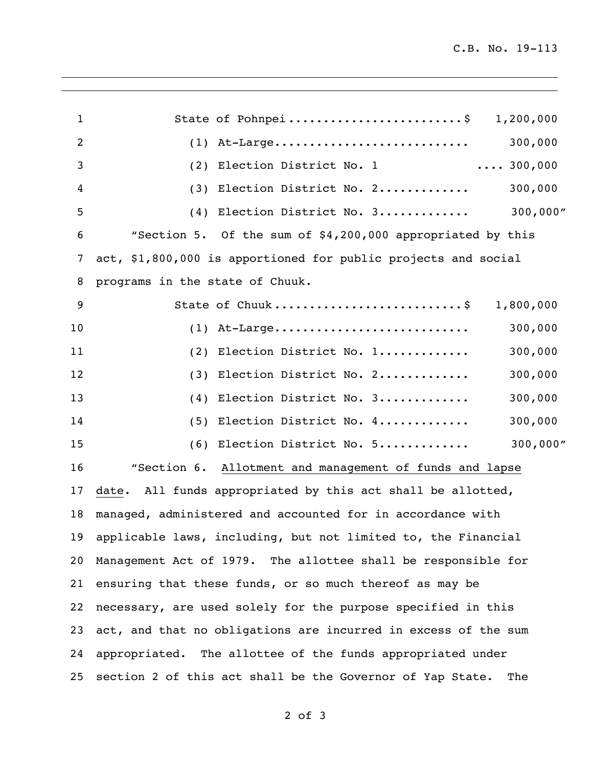| $\mathbf{1}$ | State of Pohnpei\$<br>1,200,000                                  |
|--------------|------------------------------------------------------------------|
| 2            | At-Large<br>300,000<br>(1)                                       |
| 3            | $\ldots$ 300,000<br>Election District No. 1<br>(2)               |
| 4            | Election District No. 2<br>300,000<br>(3)                        |
| 5            | 300,000"<br>Election District No. 3<br>(4)                       |
| 6            | "Section 5. Of the sum of \$4,200,000 appropriated by this       |
| 7            | act, \$1,800,000 is apportioned for public projects and social   |
| 8            | programs in the state of Chuuk.                                  |
| 9            | State of Chuuk\$<br>1,800,000                                    |
| 10           | At-Large<br>300,000<br>(1)                                       |
| 11           | 300,000<br>Election District No. 1<br>(2)                        |
| 12           | Election District No. 2<br>300,000<br>(3)                        |
| 13           | Election District No. 3<br>300,000<br>(4)                        |
| 14           | 300,000<br>Election District No. 4<br>(5)                        |
| 15           | 300,000"<br>Election District No. 5<br>(6)                       |
| 16           | "Section 6. Allotment and management of funds and lapse          |
| 17           | All funds appropriated by this act shall be allotted,<br>date.   |
| 18           | managed, administered and accounted for in accordance with       |
|              | 19 applicable laws, including, but not limited to, the Financial |
| 20           | Management Act of 1979. The allottee shall be responsible for    |
| 21           | ensuring that these funds, or so much thereof as may be          |
| 22           | necessary, are used solely for the purpose specified in this     |
| 23           | act, and that no obligations are incurred in excess of the sum   |
| 24           | appropriated. The allottee of the funds appropriated under       |
| 25           | section 2 of this act shall be the Governor of Yap State.<br>The |